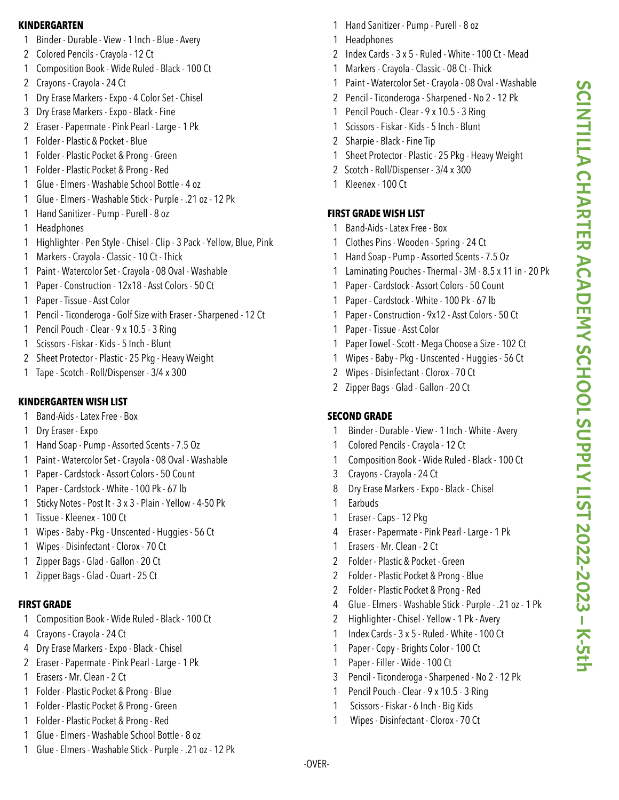#### **KINDERGARTEN**

- Binder Durable View 1 Inch Blue Avery
- Colored Pencils Crayola 12 Ct
- Composition Book Wide Ruled Black 100 Ct
- Crayons Crayola 24 Ct
- Dry Erase Markers Expo 4 Color Set Chisel
- Dry Erase Markers Expo Black -Fine
- Eraser Papermate Pink Pearl Large 1 Pk
- Folder Plastic & Pocket Blue
- Folder Plastic Pocket & Prong Green
- Folder Plastic Pocket & Prong Red
- Glue Elmers Washable School Bottle 4 oz
- Glue Elmers Washable Stick Purple .21 oz 12 Pk
- Hand Sanitizer Pump Purell 8 oz
- Headphones
- Highlighter Pen Style Chisel Clip 3 Pack Yellow, Blue, Pink
- Markers Crayola Classic 10 Ct Thick
- Paint Watercolor Set Crayola 08 Oval Washable
- Paper Construction 12x18 Asst Colors 50 Ct
- Paper Tissue Asst Color
- Pencil Ticonderoga Golf Size with Eraser Sharpened 12 Ct
- Pencil Pouch Clear 9 x 10.5 3 Ring
- Scissors -Fiskar Kids 5 Inch Blunt
- Sheet Protector Plastic 25 Pkg Heavy Weight
- Tape Scotch Roll/Dispenser 3/4 x 300

# **KINDERGARTEN WISH LIST**

- Band-Aids Latex Free Box
- Dry Eraser Expo
- Hand Soap Pump Assorted Scents 7.5 Oz
- Paint Watercolor Set Crayola 08 Oval Washable
- Paper Cardstock Assort Colors 50 Count
- Paper Cardstock White 100 Pk 67 lb
- Sticky Notes Post It 3 x 3 Plain Yellow 4-50 Pk
- Tissue Kleenex 100 Ct
- Wipes Baby Pkg Unscented Huggies 56 Ct
- Wipes Disinfectant Clorox 70 Ct
- Zipper Bags Glad Gallon 20 Ct
- Zipper Bags Glad Quart 25 Ct

## **FIRST GRADE**

- Composition Book Wide Ruled Black 100 Ct
- Crayons Crayola 24 Ct
- Dry Erase Markers Expo Black Chisel
- Eraser Papermate Pink Pearl Large 1 Pk
- Erasers Mr. Clean 2 Ct
- Folder Plastic Pocket & Prong Blue
- Folder Plastic Pocket & Prong Green
- Folder Plastic Pocket & Prong Red
- Glue Elmers Washable School Bottle 8 oz
- Glue Elmers Washable Stick Purple .21 oz 12 Pk
- Hand Sanitizer Pump Purell 8 oz
- Headphones
- Index Cards 3 x 5 Ruled White 100 Ct Mead
- Markers Crayola Classic 08 Ct Thick
- Paint Watercolor Set Crayola 08 Oval Washable
- Pencil Ticonderoga Sharpened No 2 12 Pk
- Pencil Pouch Clear 9 x 10.5 3 Ring
- Scissors -Fiskar Kids 5 Inch Blunt
- Sharpie Black -Fine Tip
- Sheet Protector Plastic 25 Pkg Heavy Weight
- 2 Scotch Roll/Dispenser 3/4 x 300
- 1 Kleenex 100 Ct

# **FIRST GRADE WISH LIST**

- Band-Aids Latex Free Box
- Clothes Pins Wooden Spring 24 Ct
- Hand Soap Pump Assorted Scents 7.5 Oz
- Laminating Pouches Thermal 3M 8.5 x 11 in 20 Pk
- Paper Cardstock Assort Colors 50 Count
- Paper Cardstock White 100 Pk 67 lb
- Paper Construction 9x12 Asst Colors 50 Ct
- Paper Tissue Asst Color
- Paper Towel Scott Mega Choose a Size 102 Ct
- Wipes Baby Pkg Unscented Huggies 56 Ct
- Wipes Disinfectant Clorox 70 Ct
- Zipper Bags Glad Gallon 20 Ct

# **SECOND GRADE**

- Binder Durable View 1 Inch White Avery
- Colored Pencils Crayola 12 Ct
- Composition Book Wide Ruled Black 100 Ct
- Crayons Crayola 24 Ct
- Dry Erase Markers Expo Black Chisel
- Earbuds
- Eraser Caps 12 Pkg
- Eraser Papermate Pink Pearl Large 1 Pk
- Erasers Mr. Clean 2 Ct
- Folder Plastic & Pocket Green
- Folder Plastic Pocket & Prong Blue
- Folder Plastic Pocket & Prong Red
- Glue Elmers Washable Stick Purple .21 oz 1 Pk
- Highlighter Chisel Yellow 1 Pk Avery
- Index Cards 3 x 5 Ruled White 100 Ct
- Paper Copy Brights Color 100 Ct
- Paper -Filler Wide 100 Ct
- Pencil Ticonderoga Sharpened No 2 12 Pk
- Pencil Pouch Clear 9 x 10.5 3 Ring
- Scissors -Fiskar 6 Inch Big Kids
- Wipes Disinfectant Clorox 70 Ct